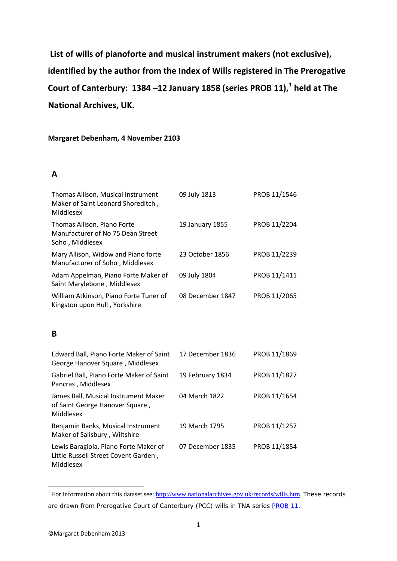**List of wills of pianoforte and musical instrument makers (not exclusive), identified by the author from the Index of Wills registered in The Prerogative Court of Canterbury: 1384 –12 January 1858 (series PROB 11), [1](#page-0-0) held at The National Archives, UK.**

#### **Margaret Debenham, 4 November 2103**

#### **A**

| Thomas Allison, Musical Instrument<br>Maker of Saint Leonard Shoreditch,<br>Middlesex      | 09 July 1813     | PROB 11/1546 |
|--------------------------------------------------------------------------------------------|------------------|--------------|
| Thomas Allison, Piano Forte<br>Manufacturer of No 75 Dean Street<br>Soho, Middlesex        | 19 January 1855  | PROB 11/2204 |
| Mary Allison, Widow and Piano forte<br>Manufacturer of Soho, Middlesex                     | 23 October 1856  | PROB 11/2239 |
| Adam Appelman, Piano Forte Maker of<br>Saint Marylebone, Middlesex                         | 09 July 1804     | PROB 11/1411 |
| William Atkinson, Piano Forte Tuner of<br>Kingston upon Hull, Yorkshire                    | 08 December 1847 | PROB 11/2065 |
| B                                                                                          |                  |              |
| Edward Ball, Piano Forte Maker of Saint<br>George Hanover Square, Middlesex                | 17 December 1836 | PROB 11/1869 |
| Gabriel Ball, Piano Forte Maker of Saint<br>Pancras, Middlesex                             | 19 February 1834 | PROB 11/1827 |
| James Ball, Musical Instrument Maker<br>of Saint George Hanover Square,<br>Middlesex       | 04 March 1822    | PROB 11/1654 |
| Benjamin Banks, Musical Instrument<br>Maker of Salisbury, Wiltshire                        | 19 March 1795    | PROB 11/1257 |
| Lewis Baragiola, Piano Forte Maker of<br>Little Russell Street Covent Garden,<br>Middlesex | 07 December 1835 | PROB 11/1854 |

<span id="page-0-0"></span><sup>&</sup>lt;sup>1</sup> For information about this dataset see: [http://www.nationalarchives.gov.uk/records/wills.htm.](http://www.nationalarchives.gov.uk/records/wills.htm) These records are drawn from Prerogative Court of Canterbury (PCC) wills in TNA series [PROB 11.](http://discovery.nationalarchives.gov.uk/SearchUI/browse/C12122)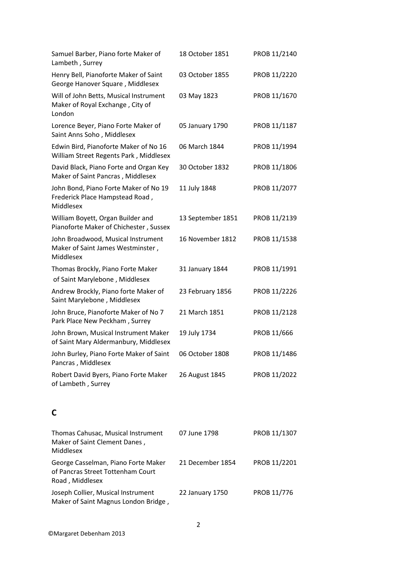| Samuel Barber, Piano forte Maker of<br>Lambeth, Surrey                                      | 18 October 1851   | PROB 11/2140 |
|---------------------------------------------------------------------------------------------|-------------------|--------------|
| Henry Bell, Pianoforte Maker of Saint<br>George Hanover Square, Middlesex                   | 03 October 1855   | PROB 11/2220 |
| Will of John Betts, Musical Instrument<br>Maker of Royal Exchange, City of<br>London        | 03 May 1823       | PROB 11/1670 |
| Lorence Beyer, Piano Forte Maker of<br>Saint Anns Soho, Middlesex                           | 05 January 1790   | PROB 11/1187 |
| Edwin Bird, Pianoforte Maker of No 16<br>William Street Regents Park, Middlesex             | 06 March 1844     | PROB 11/1994 |
| David Black, Piano Forte and Organ Key<br>Maker of Saint Pancras, Middlesex                 | 30 October 1832   | PROB 11/1806 |
| John Bond, Piano Forte Maker of No 19<br>Frederick Place Hampstead Road,<br>Middlesex       | 11 July 1848      | PROB 11/2077 |
| William Boyett, Organ Builder and<br>Pianoforte Maker of Chichester, Sussex                 | 13 September 1851 | PROB 11/2139 |
| John Broadwood, Musical Instrument<br>Maker of Saint James Westminster,<br>Middlesex        | 16 November 1812  | PROB 11/1538 |
| Thomas Brockly, Piano Forte Maker<br>of Saint Marylebone, Middlesex                         | 31 January 1844   | PROB 11/1991 |
| Andrew Brockly, Piano forte Maker of<br>Saint Marylebone, Middlesex                         | 23 February 1856  | PROB 11/2226 |
| John Bruce, Pianoforte Maker of No 7<br>Park Place New Peckham, Surrey                      | 21 March 1851     | PROB 11/2128 |
| John Brown, Musical Instrument Maker<br>of Saint Mary Aldermanbury, Middlesex               | 19 July 1734      | PROB 11/666  |
| John Burley, Piano Forte Maker of Saint<br>Pancras, Middlesex                               | 06 October 1808   | PROB 11/1486 |
| Robert David Byers, Piano Forte Maker<br>of Lambeth, Surrey                                 | 26 August 1845    | PROB 11/2022 |
| C                                                                                           |                   |              |
| Thomas Cahusac, Musical Instrument<br>Maker of Saint Clement Danes,<br>Middlesex            | 07 June 1798      | PROB 11/1307 |
| George Casselman, Piano Forte Maker<br>of Pancras Street Tottenham Court<br>Road, Middlesex | 21 December 1854  | PROB 11/2201 |
| Joseph Collier, Musical Instrument<br>Maker of Saint Magnus London Bridge,                  | 22 January 1750   | PROB 11/776  |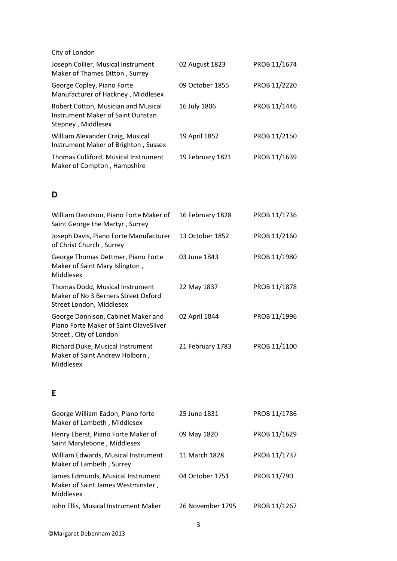| City of London                                                                                 |                  |              |
|------------------------------------------------------------------------------------------------|------------------|--------------|
| Joseph Collier, Musical Instrument<br>Maker of Thames Ditton, Surrey                           | 02 August 1823   | PROB 11/1674 |
| George Copley, Piano Forte<br>Manufacturer of Hackney, Middlesex                               | 09 October 1855  | PROB 11/2220 |
| Robert Cotton, Musician and Musical<br>Instrument Maker of Saint Dunstan<br>Stepney, Middlesex | 16 July 1806     | PROB 11/1446 |
| William Alexander Craig, Musical<br>Instrument Maker of Brighton, Sussex                       | 19 April 1852    | PROB 11/2150 |
| Thomas Culliford, Musical Instrument<br>Maker of Compton, Hampshire                            | 19 February 1821 | PROB 11/1639 |

## **D**

| William Davidson, Piano Forte Maker of<br>Saint George the Martyr, Surrey                              | 16 February 1828 | PROB 11/1736 |
|--------------------------------------------------------------------------------------------------------|------------------|--------------|
| Joseph Davis, Piano Forte Manufacturer<br>of Christ Church, Surrey                                     | 13 October 1852  | PROB 11/2160 |
| George Thomas Dettmer, Piano Forte<br>Maker of Saint Mary Islington,<br>Middlesex                      | 03 June 1843     | PROB 11/1980 |
| Thomas Dodd, Musical Instrument<br>Maker of No 3 Berners Street Oxford<br>Street London, Middlesex     | 22 May 1837      | PROB 11/1878 |
| George Donnison, Cabinet Maker and<br>Piano Forte Maker of Saint OlaveSilver<br>Street, City of London | 02 April 1844    | PROB 11/1996 |
| Richard Duke, Musical Instrument<br>Maker of Saint Andrew Holborn,<br>Middlesex                        | 21 February 1783 | PROB 11/1100 |
|                                                                                                        |                  |              |

## **E**

| George William Eadon, Piano forte<br>Maker of Lambeth, Middlesex                    | 25 June 1831     | PROB 11/1786 |
|-------------------------------------------------------------------------------------|------------------|--------------|
| Henry Eberst, Piano Forte Maker of<br>Saint Marylebone, Middlesex                   | 09 May 1820      | PROB 11/1629 |
| William Edwards, Musical Instrument<br>Maker of Lambeth, Surrey                     | 11 March 1828    | PROB 11/1737 |
| James Edmunds, Musical Instrument<br>Maker of Saint James Westminster,<br>Middlesex | 04 October 1751  | PROB 11/790  |
| John Ellis, Musical Instrument Maker                                                | 26 November 1795 | PROB 11/1267 |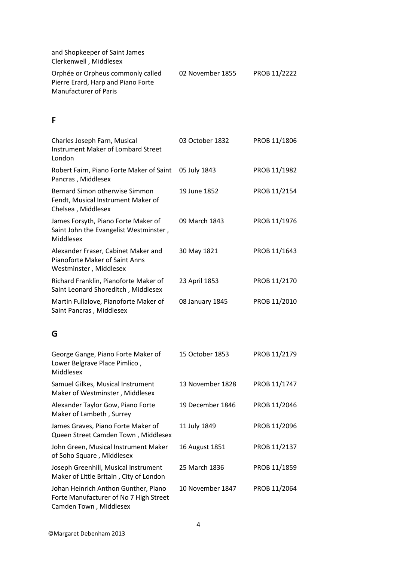| and Shopkeeper of Saint James<br>Clerkenwell, Middlesex                 |                  |              |
|-------------------------------------------------------------------------|------------------|--------------|
| Orphée or Orpheus commonly called<br>Pierre Erard, Harp and Piano Forte | 02 November 1855 | PROB 11/2222 |
| Manufacturer of Paris                                                   |                  |              |

### **F**

| Charles Joseph Farn, Musical<br><b>Instrument Maker of Lombard Street</b><br>London             | 03 October 1832  | PROB 11/1806 |
|-------------------------------------------------------------------------------------------------|------------------|--------------|
| Robert Fairn, Piano Forte Maker of Saint<br>Pancras, Middlesex                                  | 05 July 1843     | PROB 11/1982 |
| Bernard Simon otherwise Simmon<br>Fendt, Musical Instrument Maker of<br>Chelsea, Middlesex      | 19 June 1852     | PROB 11/2154 |
| James Forsyth, Piano Forte Maker of<br>Saint John the Evangelist Westminster,<br>Middlesex      | 09 March 1843    | PROB 11/1976 |
| Alexander Fraser, Cabinet Maker and<br>Pianoforte Maker of Saint Anns<br>Westminster, Middlesex | 30 May 1821      | PROB 11/1643 |
| Richard Franklin, Pianoforte Maker of<br>Saint Leonard Shoreditch, Middlesex                    | 23 April 1853    | PROB 11/2170 |
| Martin Fullalove, Pianoforte Maker of<br>Saint Pancras, Middlesex                               | 08 January 1845  | PROB 11/2010 |
| G                                                                                               |                  |              |
| George Gange, Piano Forte Maker of<br>Lower Belgrave Place Pimlico,<br>Middlesex                | 15 October 1853  | PROB 11/2179 |
| Samuel Gilkes, Musical Instrument<br>Maker of Westminster, Middlesex                            | 13 November 1828 | PROB 11/1747 |
| Alexander Taylor Gow, Piano Forte<br>Maker of Lambeth, Surrey                                   | 19 December 1846 | PROB 11/2046 |
| James Graves, Piano Forte Maker of<br>Queen Street Camden Town, Middlesex                       | 11 July 1849     | PROB 11/2096 |
| John Green, Musical Instrument Maker<br>of Soho Square, Middlesex                               | 16 August 1851   | PROB 11/2137 |
| Joseph Greenhill, Musical Instrument<br>Maker of Little Britain, City of London                 | 25 March 1836    | PROB 11/1859 |
|                                                                                                 |                  |              |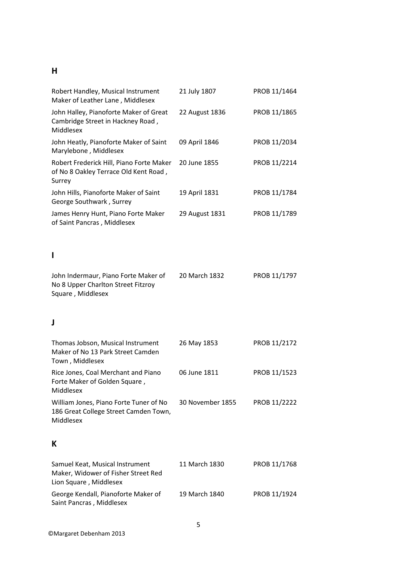### **H**

| Robert Handley, Musical Instrument<br>Maker of Leather Lane, Middlesex                           | 21 July 1807     | PROB 11/1464 |
|--------------------------------------------------------------------------------------------------|------------------|--------------|
| John Halley, Pianoforte Maker of Great<br>Cambridge Street in Hackney Road,<br>Middlesex         | 22 August 1836   | PROB 11/1865 |
| John Heatly, Pianoforte Maker of Saint<br>Marylebone, Middlesex                                  | 09 April 1846    | PROB 11/2034 |
| Robert Frederick Hill, Piano Forte Maker<br>of No 8 Oakley Terrace Old Kent Road,<br>Surrey      | 20 June 1855     | PROB 11/2214 |
| John Hills, Pianoforte Maker of Saint<br>George Southwark, Surrey                                | 19 April 1831    | PROB 11/1784 |
| James Henry Hunt, Piano Forte Maker<br>of Saint Pancras, Middlesex                               | 29 August 1831   | PROB 11/1789 |
| ı                                                                                                |                  |              |
| John Indermaur, Piano Forte Maker of<br>No 8 Upper Charlton Street Fitzroy<br>Square, Middlesex  | 20 March 1832    | PROB 11/1797 |
| J                                                                                                |                  |              |
| Thomas Jobson, Musical Instrument<br>Maker of No 13 Park Street Camden<br>Town, Middlesex        | 26 May 1853      | PROB 11/2172 |
| Rice Jones, Coal Merchant and Piano<br>Forte Maker of Golden Square,<br>Middlesex                | 06 June 1811     | PROB 11/1523 |
| William Jones, Piano Forte Tuner of No<br>186 Great College Street Camden Town,<br>Middlesex     | 30 November 1855 | PROB 11/2222 |
| К                                                                                                |                  |              |
| Samuel Keat, Musical Instrument<br>Maker, Widower of Fisher Street Red<br>Lion Square, Middlesex | 11 March 1830    | PROB 11/1768 |
| George Kendall, Pianoforte Maker of<br>Saint Pancras, Middlesex                                  | 19 March 1840    | PROB 11/1924 |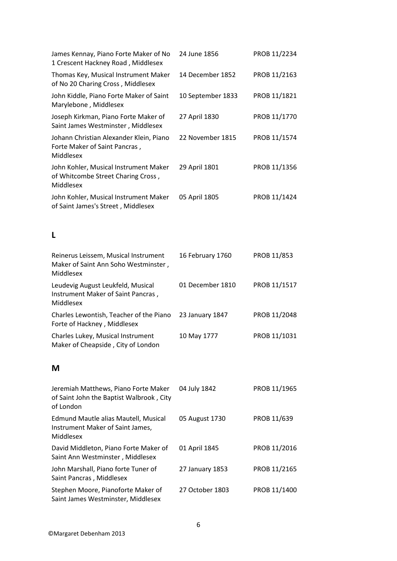| James Kennay, Piano Forte Maker of No<br>1 Crescent Hackney Road, Middlesex                   | 24 June 1856      | PROB 11/2234 |
|-----------------------------------------------------------------------------------------------|-------------------|--------------|
| Thomas Key, Musical Instrument Maker<br>of No 20 Charing Cross, Middlesex                     | 14 December 1852  | PROB 11/2163 |
| John Kiddle, Piano Forte Maker of Saint<br>Marylebone, Middlesex                              | 10 September 1833 | PROB 11/1821 |
| Joseph Kirkman, Piano Forte Maker of<br>Saint James Westminster, Middlesex                    | 27 April 1830     | PROB 11/1770 |
| Johann Christian Alexander Klein, Piano<br>Forte Maker of Saint Pancras,<br>Middlesex         | 22 November 1815  | PROB 11/1574 |
| John Kohler, Musical Instrument Maker<br>of Whitcombe Street Charing Cross,<br>Middlesex      | 29 April 1801     | PROB 11/1356 |
| John Kohler, Musical Instrument Maker<br>of Saint James's Street, Middlesex                   | 05 April 1805     | PROB 11/1424 |
| L                                                                                             |                   |              |
| Reinerus Leissem, Musical Instrument<br>Maker of Saint Ann Soho Westminster,<br>Middlesex     | 16 February 1760  | PROB 11/853  |
| Leudevig August Leukfeld, Musical<br>Instrument Maker of Saint Pancras,<br>Middlesex          | 01 December 1810  | PROB 11/1517 |
| Charles Lewontish, Teacher of the Piano<br>Forte of Hackney, Middlesex                        | 23 January 1847   | PROB 11/2048 |
| Charles Lukey, Musical Instrument<br>Maker of Cheapside, City of London                       | 10 May 1777       | PROB 11/1031 |
| M                                                                                             |                   |              |
| Jeremiah Matthews, Piano Forte Maker<br>of Saint John the Baptist Walbrook, City<br>of London | 04 July 1842      | PROB 11/1965 |
| Edmund Mautle alias Mautell, Musical<br>Instrument Maker of Saint James,<br>Middlesex         | 05 August 1730    | PROB 11/639  |
| David Middleton, Piano Forte Maker of<br>Saint Ann Westminster, Middlesex                     | 01 April 1845     | PROB 11/2016 |
| John Marshall, Piano forte Tuner of<br>Saint Pancras, Middlesex                               | 27 January 1853   | PROB 11/2165 |
| Stephen Moore, Pianoforte Maker of<br>Saint James Westminster, Middlesex                      | 27 October 1803   | PROB 11/1400 |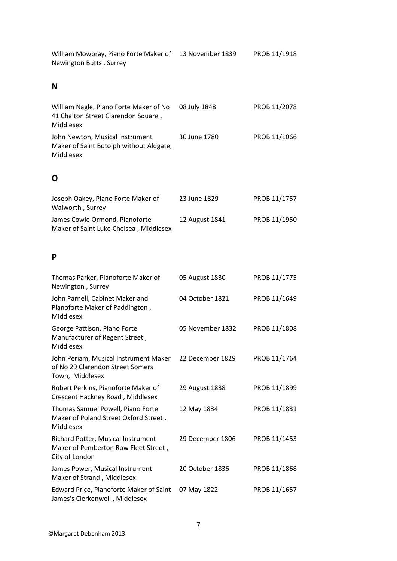| William Mowbray, Piano Forte Maker of<br>Newington Butts, Surrey                             | 13 November 1839 | PROB 11/1918 |
|----------------------------------------------------------------------------------------------|------------------|--------------|
| N                                                                                            |                  |              |
| William Nagle, Piano Forte Maker of No<br>41 Chalton Street Clarendon Square,<br>Middlesex   | 08 July 1848     | PROB 11/2078 |
| John Newton, Musical Instrument<br>Maker of Saint Botolph without Aldgate,<br>Middlesex      | 30 June 1780     | PROB 11/1066 |
| O                                                                                            |                  |              |
| Joseph Oakey, Piano Forte Maker of<br>Walworth, Surrey                                       | 23 June 1829     | PROB 11/1757 |
| James Cowle Ormond, Pianoforte<br>Maker of Saint Luke Chelsea, Middlesex                     | 12 August 1841   | PROB 11/1950 |
| P                                                                                            |                  |              |
| Thomas Parker, Pianoforte Maker of<br>Newington, Surrey                                      | 05 August 1830   | PROB 11/1775 |
| John Parnell, Cabinet Maker and<br>Pianoforte Maker of Paddington,<br>Middlesex              | 04 October 1821  | PROB 11/1649 |
| George Pattison, Piano Forte<br>Manufacturer of Regent Street,<br>Middlesex                  | 05 November 1832 | PROB 11/1808 |
| John Periam, Musical Instrument Maker<br>of No 29 Clarendon Street Somers<br>Town, Middlesex | 22 December 1829 | PROB 11/1764 |
| Robert Perkins, Pianoforte Maker of<br>Crescent Hackney Road, Middlesex                      | 29 August 1838   | PROB 11/1899 |
| Thomas Samuel Powell, Piano Forte<br>Maker of Poland Street Oxford Street,<br>Middlesex      | 12 May 1834      | PROB 11/1831 |
| Richard Potter, Musical Instrument<br>Maker of Pemberton Row Fleet Street,<br>City of London | 29 December 1806 | PROB 11/1453 |
| James Power, Musical Instrument<br>Maker of Strand, Middlesex                                | 20 October 1836  | PROB 11/1868 |
| Edward Price, Pianoforte Maker of Saint<br>James's Clerkenwell, Middlesex                    | 07 May 1822      | PROB 11/1657 |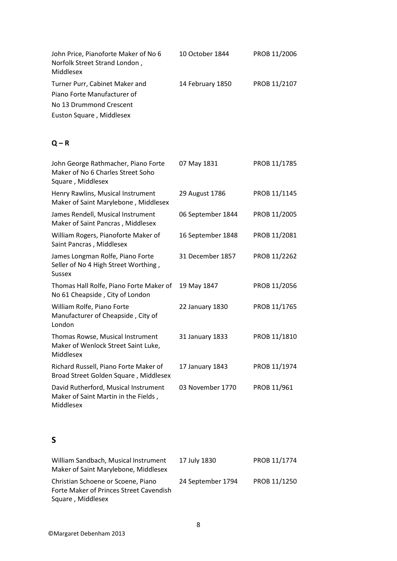| John Price, Pianoforte Maker of No 6<br>Norfolk Street Strand London,<br>Middlesex                                   | 10 October 1844   | PROB 11/2006 |
|----------------------------------------------------------------------------------------------------------------------|-------------------|--------------|
| Turner Purr, Cabinet Maker and<br>Piano Forte Manufacturer of<br>No 13 Drummond Crescent<br>Euston Square, Middlesex | 14 February 1850  | PROB 11/2107 |
| $Q - R$                                                                                                              |                   |              |
| John George Rathmacher, Piano Forte<br>Maker of No 6 Charles Street Soho<br>Square, Middlesex                        | 07 May 1831       | PROB 11/1785 |
| Henry Rawlins, Musical Instrument<br>Maker of Saint Marylebone, Middlesex                                            | 29 August 1786    | PROB 11/1145 |
| James Rendell, Musical Instrument<br>Maker of Saint Pancras, Middlesex                                               | 06 September 1844 | PROB 11/2005 |
| William Rogers, Pianoforte Maker of<br>Saint Pancras, Middlesex                                                      | 16 September 1848 | PROB 11/2081 |
| James Longman Rolfe, Piano Forte<br>Seller of No 4 High Street Worthing,<br><b>Sussex</b>                            | 31 December 1857  | PROB 11/2262 |
| Thomas Hall Rolfe, Piano Forte Maker of<br>No 61 Cheapside, City of London                                           | 19 May 1847       | PROB 11/2056 |
| William Rolfe, Piano Forte<br>Manufacturer of Cheapside, City of<br>London                                           | 22 January 1830   | PROB 11/1765 |
| Thomas Rowse, Musical Instrument<br>Maker of Wenlock Street Saint Luke,<br>Middlesex                                 | 31 January 1833   | PROB 11/1810 |
| Richard Russell, Piano Forte Maker of<br>Broad Street Golden Square, Middlesex                                       | 17 January 1843   | PROB 11/1974 |
| David Rutherford, Musical Instrument<br>Maker of Saint Martin in the Fields,<br>Middlesex                            | 03 November 1770  | PROB 11/961  |
| S                                                                                                                    |                   |              |

| William Sandbach, Musical Instrument<br>Maker of Saint Marylebone, Middlesex                       | 17 July 1830      | PROB 11/1774 |
|----------------------------------------------------------------------------------------------------|-------------------|--------------|
| Christian Schoene or Scoene, Piano<br>Forte Maker of Princes Street Cavendish<br>Square, Middlesex | 24 September 1794 | PROB 11/1250 |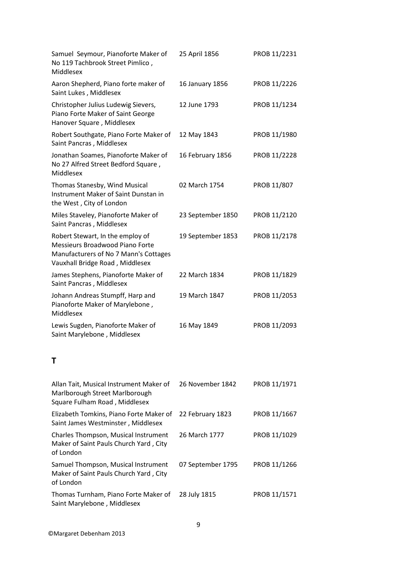| Samuel Seymour, Pianoforte Maker of<br>No 119 Tachbrook Street Pimlico,<br>Middlesex                                                            | 25 April 1856     | PROB 11/2231 |
|-------------------------------------------------------------------------------------------------------------------------------------------------|-------------------|--------------|
| Aaron Shepherd, Piano forte maker of<br>Saint Lukes, Middlesex                                                                                  | 16 January 1856   | PROB 11/2226 |
| Christopher Julius Ludewig Sievers,<br>Piano Forte Maker of Saint George<br>Hanover Square, Middlesex                                           | 12 June 1793      | PROB 11/1234 |
| Robert Southgate, Piano Forte Maker of<br>Saint Pancras, Middlesex                                                                              | 12 May 1843       | PROB 11/1980 |
| Jonathan Soames, Pianoforte Maker of<br>No 27 Alfred Street Bedford Square,<br>Middlesex                                                        | 16 February 1856  | PROB 11/2228 |
| Thomas Stanesby, Wind Musical<br>Instrument Maker of Saint Dunstan in<br>the West, City of London                                               | 02 March 1754     | PROB 11/807  |
| Miles Staveley, Pianoforte Maker of<br>Saint Pancras, Middlesex                                                                                 | 23 September 1850 | PROB 11/2120 |
| Robert Stewart, In the employ of<br>Messieurs Broadwood Piano Forte<br>Manufacturers of No 7 Mann's Cottages<br>Vauxhall Bridge Road, Middlesex | 19 September 1853 | PROB 11/2178 |
| James Stephens, Pianoforte Maker of<br>Saint Pancras, Middlesex                                                                                 | 22 March 1834     | PROB 11/1829 |
| Johann Andreas Stumpff, Harp and<br>Pianoforte Maker of Marylebone,<br>Middlesex                                                                | 19 March 1847     | PROB 11/2053 |
| Lewis Sugden, Pianoforte Maker of<br>Saint Marylebone, Middlesex                                                                                | 16 May 1849       | PROB 11/2093 |
| Τ                                                                                                                                               |                   |              |
| Allan Tait, Musical Instrument Maker of<br>Marlborough Street Marlborough<br>Square Fulham Road, Middlesex                                      | 26 November 1842  | PROB 11/1971 |
| Elizabeth Tomkins, Piano Forte Maker of<br>Saint James Westminster, Middlesex                                                                   | 22 February 1823  | PROB 11/1667 |
| Charles Thompson, Musical Instrument<br>Maker of Saint Pauls Church Yard, City<br>of London                                                     | 26 March 1777     | PROB 11/1029 |
| Samuel Thompson, Musical Instrument<br>Maker of Saint Pauls Church Yard, City                                                                   | 07 September 1795 | PROB 11/1266 |

of London

Thomas Turnham, Piano Forte Maker of 28 July 1815 PROB 11/1571